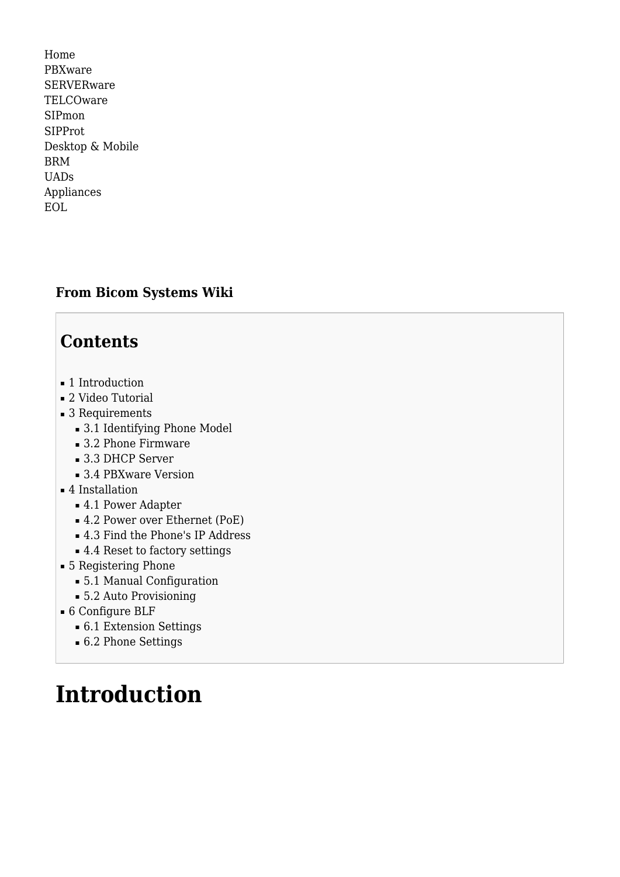[Home](http://wiki.bicomsystems.com/Main_Page) [PBXware](http://wiki.bicomsystems.com/PBXware) **[SERVERware](http://wiki.bicomsystems.com/SERVERware) [TELCOware](http://wiki.bicomsystems.com/TELCOware)** [SIPmon](http://wiki.bicomsystems.com/SIPmon) [SIPProt](http://wiki.bicomsystems.com/SIPProt) [Desktop & Mobile](http://wiki.bicomsystems.com/Desktop_and_Mobile) [BRM](http://wiki.bicomsystems.com/BRM) [UADs](http://wiki.bicomsystems.com/UADs) [Appliances](http://wiki.bicomsystems.com/Appliances) [EOL](http://wiki.bicomsystems.com/EOL)

### **From Bicom Systems Wiki**

## **Contents**

- [1](#page--1-0) [Introduction](#page--1-0)
- [2](#page--1-0) [Video Tutorial](#page--1-0)
- [3](#page--1-0) [Requirements](#page--1-0)
	- [3.1](#page--1-0) [Identifying Phone Model](#page--1-0)
	- [3.2](#page--1-0) [Phone Firmware](#page--1-0)
	- [3.3](#page--1-0) [DHCP Server](#page--1-0)
	- [3.4](#page--1-0) [PBXware Version](#page--1-0)
- [4](#page--1-0) [Installation](#page--1-0)
	- [4.1](#page--1-0) [Power Adapter](#page--1-0)
	- [4.2](#Power_over_Ethernet_.28PoE.29) [Power over Ethernet \(PoE\)](#Power_over_Ethernet_.28PoE.29)
	- [4.3](#Find_the_Phone.27s_IP_Address) [Find the Phone's IP Address](#Find_the_Phone.27s_IP_Address)
	- [4.4](#page--1-0) [Reset to factory settings](#page--1-0)
- [5](#page--1-0) [Registering Phone](#page--1-0)
	- [5.1](#page--1-0) [Manual Configuration](#page--1-0)
	- [5.2](#page--1-0) [Auto Provisioning](#page--1-0)
- [6](#page--1-0) [Configure BLF](#page--1-0)
	- [6.1](#page--1-0) [Extension Settings](#page--1-0)
	- [6.2](#page--1-0) [Phone Settings](#page--1-0)

# **Introduction**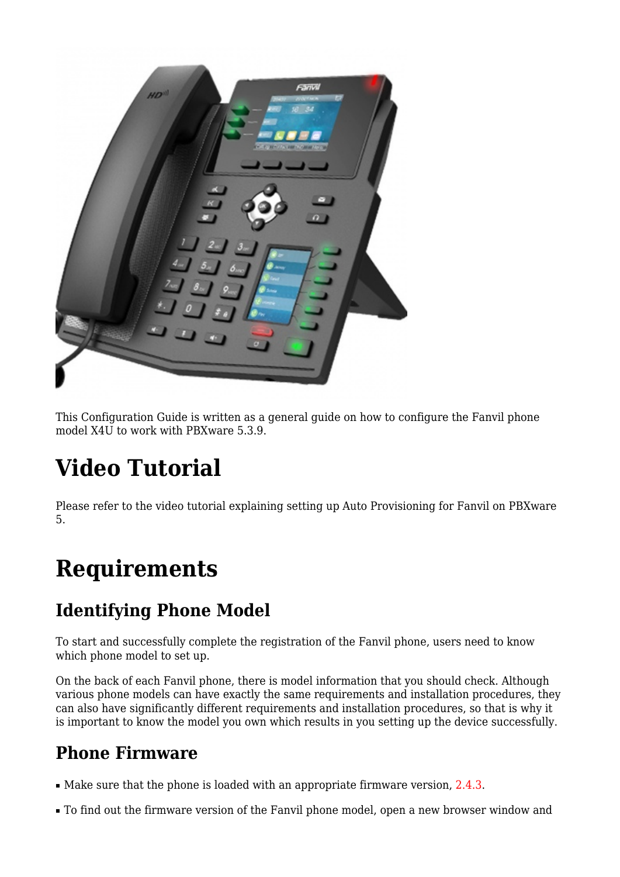

This Configuration Guide is written as a general guide on how to configure the Fanvil phone model X4U to work with PBXware 5.3.9.

# **Video Tutorial**

Please refer to the video tutorial explaining setting up Auto Provisioning for Fanvil on PBXware 5.

# **Requirements**

# **Identifying Phone Model**

To start and successfully complete the registration of the Fanvil phone, users need to know which phone model to set up.

On the back of each Fanvil phone, there is model information that you should check. Although various phone models can have exactly the same requirements and installation procedures, they can also have significantly different requirements and installation procedures, so that is why it is important to know the model you own which results in you setting up the device successfully.

# **Phone Firmware**

- Make sure that the phone is loaded with an appropriate firmware version, 2.4.3.
- To find out the firmware version of the Fanvil phone model, open a new browser window and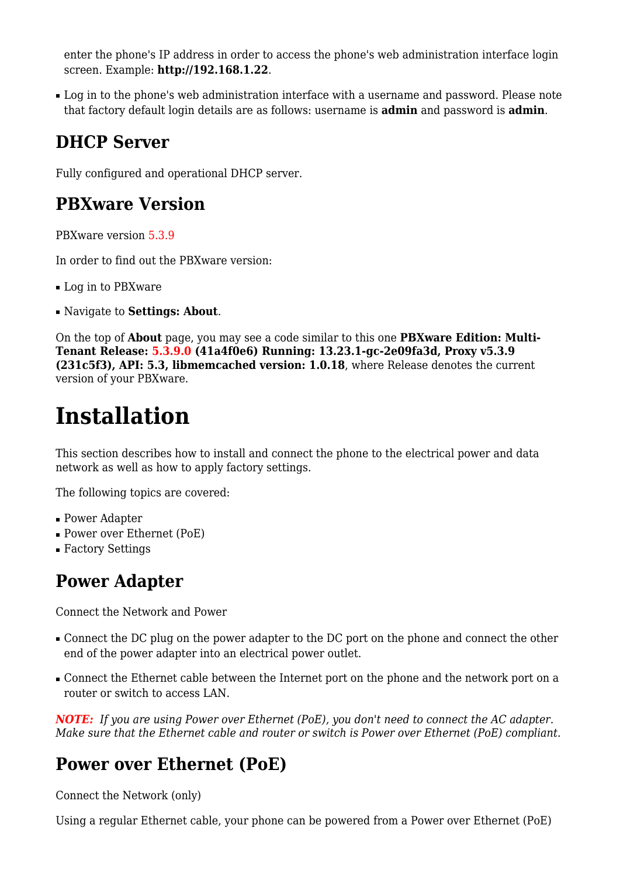enter the phone's IP address in order to access the phone's web administration interface login screen. Example: **<http://192.168.1.22>**.

• Log in to the phone's web administration interface with a username and password. Please note that factory default login details are as follows: username is **admin** and password is **admin**.

## **DHCP Server**

Fully configured and operational DHCP server.

### **PBXware Version**

PBXware version 5.3.9

In order to find out the PBXware version:

- Log in to PBXware
- Navigate to **Settings: About**.

On the top of **About** page, you may see a code similar to this one **PBXware Edition: Multi-Tenant Release: 5.3.9.0 (41a4f0e6) Running: 13.23.1-gc-2e09fa3d, Proxy v5.3.9 (231c5f3), API: 5.3, libmemcached version: 1.0.18**, where Release denotes the current version of your PBXware.

# **Installation**

This section describes how to install and connect the phone to the electrical power and data network as well as how to apply factory settings.

The following topics are covered:

- Power Adapter
- Power over Ethernet (PoE)
- Factory Settings

## **Power Adapter**

Connect the Network and Power

- Connect the DC plug on the power adapter to the DC port on the phone and connect the other end of the power adapter into an electrical power outlet.
- Connect the Ethernet cable between the Internet port on the phone and the network port on a router or switch to access LAN.

*NOTE: If you are using Power over Ethernet (PoE), you don't need to connect the AC adapter. Make sure that the Ethernet cable and router or switch is Power over Ethernet (PoE) compliant*.

## **Power over Ethernet (PoE)**

Connect the Network (only)

Using a regular Ethernet cable, your phone can be powered from a Power over Ethernet (PoE)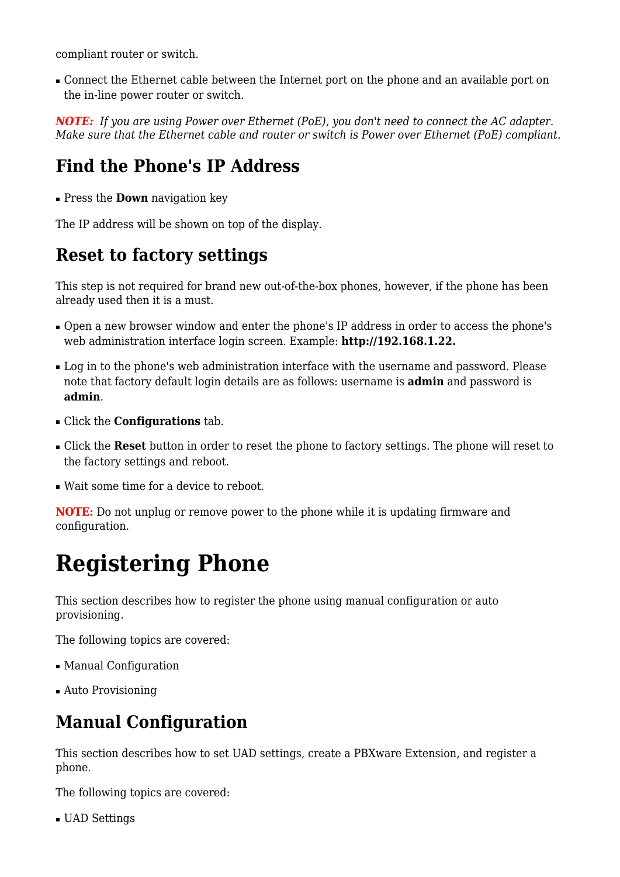compliant router or switch.

■ Connect the Ethernet cable between the Internet port on the phone and an available port on the in-line power router or switch.

*NOTE: If you are using Power over Ethernet (PoE), you don't need to connect the AC adapter. Make sure that the Ethernet cable and router or switch is Power over Ethernet (PoE) compliant*.

### **Find the Phone's IP Address**

■ Press the **Down** navigation key

The IP address will be shown on top of the display.

## **Reset to factory settings**

This step is not required for brand new out-of-the-box phones, however, if the phone has been already used then it is a must.

- Open a new browser window and enter the phone's IP address in order to access the phone's web administration interface login screen. Example: **<http://192.168.1.22>.**
- Log in to the phone's web administration interface with the username and password. Please note that factory default login details are as follows: username is **admin** and password is **admin**.
- Click the **Configurations** tab.
- Click the **Reset** button in order to reset the phone to factory settings. The phone will reset to the factory settings and reboot.
- Wait some time for a device to reboot.

**NOTE:** Do not unplug or remove power to the phone while it is updating firmware and configuration.

# **Registering Phone**

This section describes how to register the phone using manual configuration or auto provisioning.

The following topics are covered:

- Manual Configuration
- Auto Provisioning

### **Manual Configuration**

This section describes how to set UAD settings, create a PBXware Extension, and register a phone.

The following topics are covered:

■ UAD Settings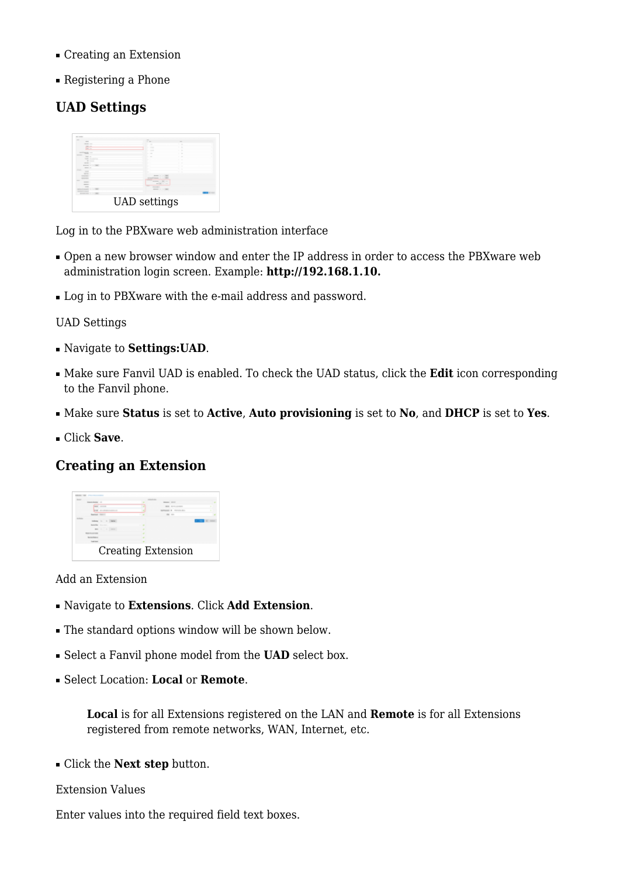- Creating an Extension
- Registering a Phone

### **UAD Settings**



Log in to the PBXware web administration interface

- Open a new browser window and enter the IP address in order to access the PBXware web administration login screen. Example: **<http://192.168.1.10>.**
- Log in to PBXware with the e-mail address and password.

#### UAD Settings

- Navigate to **Settings:UAD**.
- Make sure Fanvil UAD is enabled. To check the UAD status, click the **Edit** icon corresponding to the Fanvil phone.
- Make sure **Status** is set to **Active**, **Auto provisioning** is set to **No**, and **DHCP** is set to **Yes**.
- Click **Save**.

### **Creating an Extension**



#### Add an Extension

- Navigate to **Extensions**. Click **Add Extension**.
- The standard options window will be shown below.
- Select a Fanvil phone model from the **UAD** select box.
- Select Location: **Local** or **Remote**.

**Local** is for all Extensions registered on the LAN and **Remote** is for all Extensions registered from remote networks, WAN, Internet, etc.

■ Click the **Next step** button.

#### Extension Values

Enter values into the required field text boxes.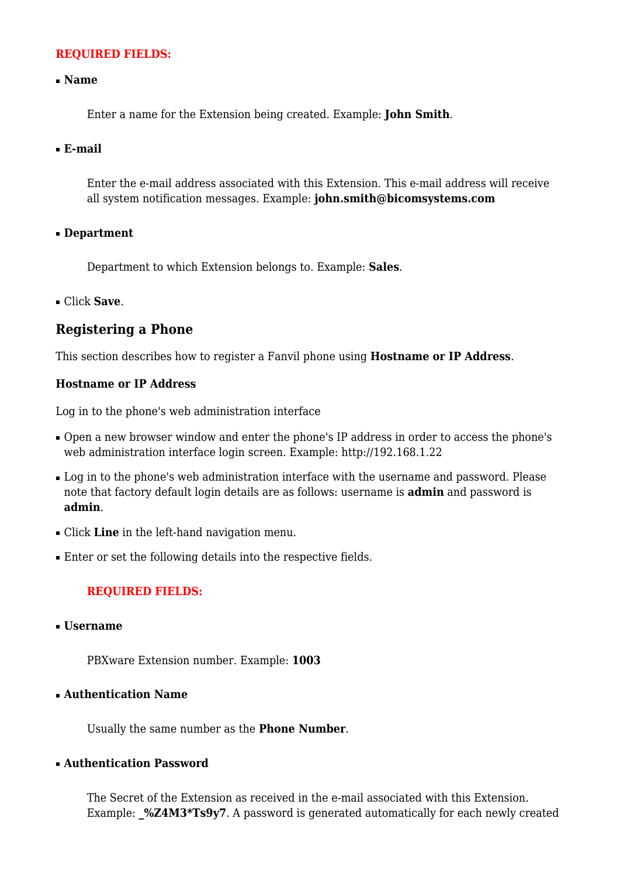#### **REQUIRED FIELDS:**

#### ■ **Name**

Enter a name for the Extension being created. Example: **John Smith**.

#### ■ **E-mail**

Enter the e-mail address associated with this Extension. This e-mail address will receive all system notification messages. Example: **john.smith@bicomsystems.com**

#### ■ **Department**

Department to which Extension belongs to. Example: **Sales**.

■ Click **Save**.

### **Registering a Phone**

This section describes how to register a Fanvil phone using **Hostname or IP Address**.

#### **Hostname or IP Address**

Log in to the phone's web administration interface

- Open a new browser window and enter the phone's IP address in order to access the phone's web administration interface login screen. Example:<http://192.168.1.22>
- Log in to the phone's web administration interface with the username and password. Please note that factory default login details are as follows: username is **admin** and password is **admin**.
- Click **Line** in the left-hand navigation menu.
- Enter or set the following details into the respective fields.

#### **REQUIRED FIELDS:**

■ **Username**

PBXware Extension number. Example: **1003**

■ **Authentication Name**

Usually the same number as the **Phone Number**.

#### ■ **Authentication Password**

The Secret of the Extension as received in the e-mail associated with this Extension. Example: **\_%Z4M3\*Ts9y7**. A password is generated automatically for each newly created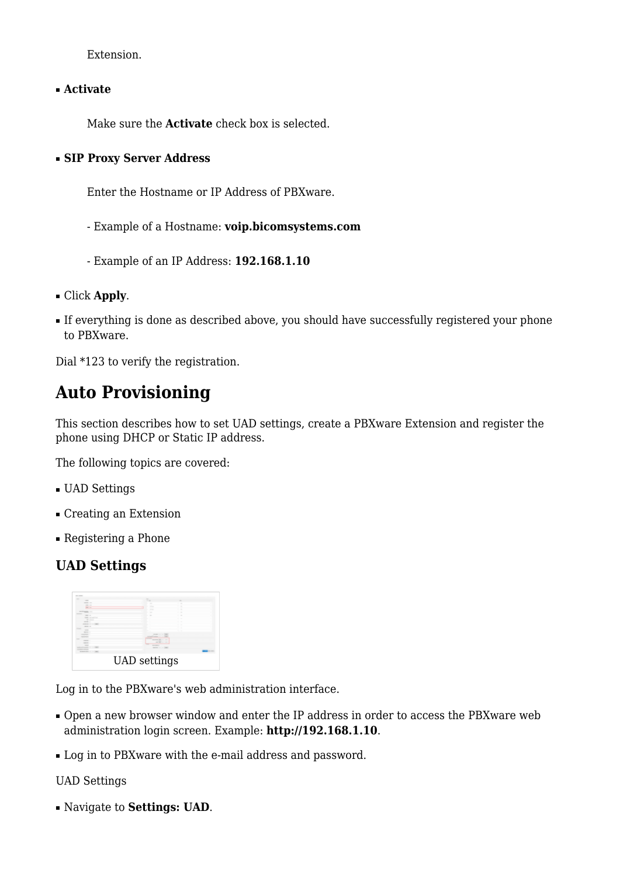Extension.

■ **Activate**

Make sure the **Activate** check box is selected.

#### ■ **SIP Proxy Server Address**

Enter the Hostname or IP Address of PBXware.

- Example of a Hostname: **voip.bicomsystems.com**
- Example of an IP Address: **192.168.1.10**
- Click **Apply**.
- If everything is done as described above, you should have successfully registered your phone to PBXware.

Dial \*123 to verify the registration.

## **Auto Provisioning**

This section describes how to set UAD settings, create a PBXware Extension and register the phone using DHCP or Static IP address.

The following topics are covered:

- UAD Settings
- Creating an Extension
- Registering a Phone

### **UAD Settings**



Log in to the PBXware's web administration interface.

- Open a new browser window and enter the IP address in order to access the PBXware web administration login screen. Example: **<http://192.168.1.10>**.
- Log in to PBXware with the e-mail address and password.

UAD Settings

■ Navigate to **Settings: UAD**.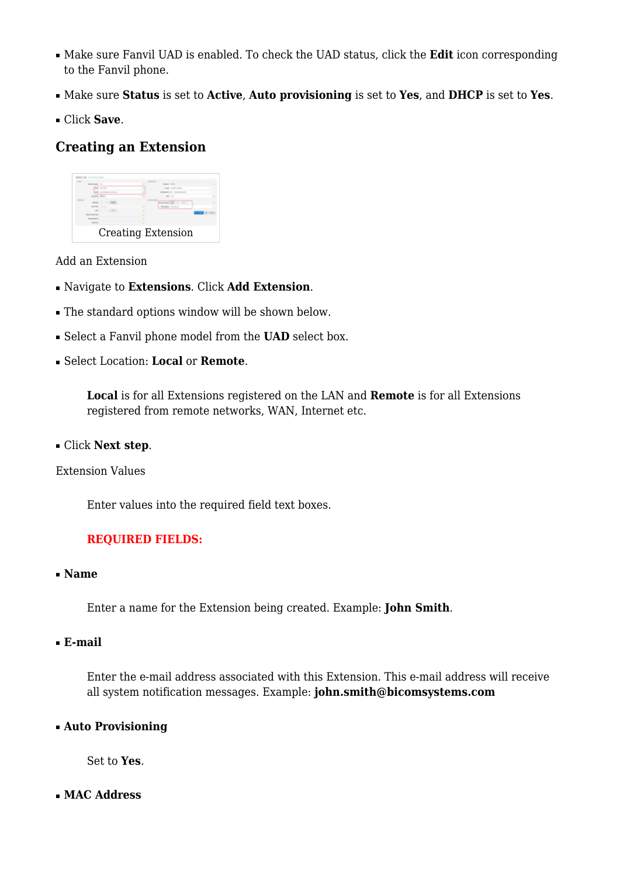- Make sure Fanvil UAD is enabled. To check the UAD status, click the **Edit** icon corresponding to the Fanvil phone.
- Make sure **Status** is set to **Active**, **Auto provisioning** is set to **Yes**, and **DHCP** is set to **Yes**.
- Click **Save**.

### **Creating an Extension**



Add an Extension

- Navigate to **Extensions**. Click **Add Extension**.
- The standard options window will be shown below.
- Select a Fanvil phone model from the **UAD** select box.
- Select Location: **Local** or **Remote**.

**Local** is for all Extensions registered on the LAN and **Remote** is for all Extensions registered from remote networks, WAN, Internet etc.

■ Click **Next step**.

Extension Values

Enter values into the required field text boxes.

#### **REQUIRED FIELDS:**

■ **Name**

Enter a name for the Extension being created. Example: **John Smith**.

#### ■ **E-mail**

Enter the e-mail address associated with this Extension. This e-mail address will receive all system notification messages. Example: **john.smith@bicomsystems.com**

#### ■ **Auto Provisioning**

Set to **Yes**.

#### ■ **MAC Address**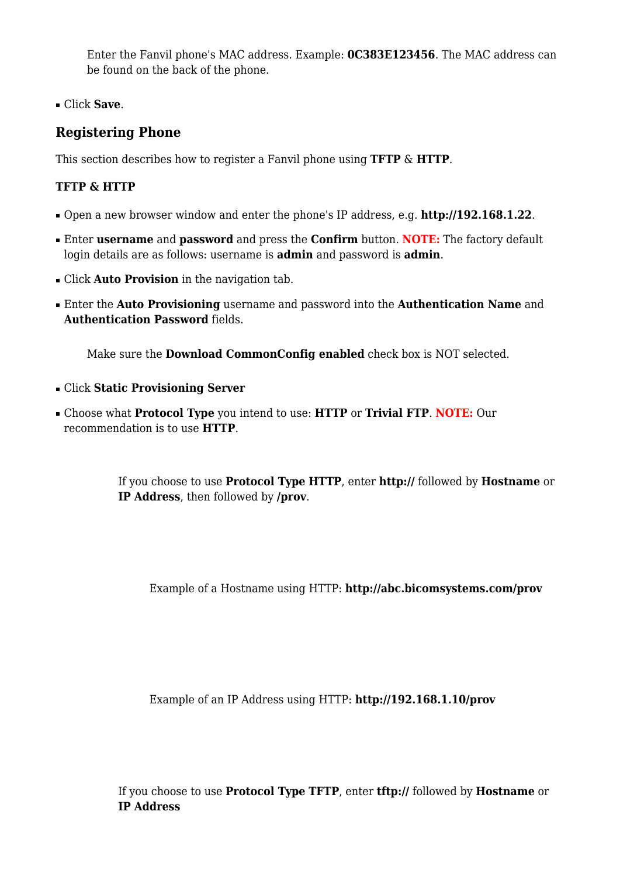Enter the Fanvil phone's MAC address. Example: **0C383E123456**. The MAC address can be found on the back of the phone.

■ Click **Save**.

### **Registering Phone**

This section describes how to register a Fanvil phone using **TFTP** & **HTTP**.

### **TFTP & HTTP**

- Open a new browser window and enter the phone's IP address, e.g. **<http://192.168.1.22>**.
- Enter **username** and **password** and press the **Confirm** button. **NOTE:** The factory default login details are as follows: username is **admin** and password is **admin**.
- Click **Auto Provision** in the navigation tab.
- Enter the **Auto Provisioning** username and password into the **Authentication Name** and **Authentication Password** fields.

Make sure the **Download CommonConfig enabled** check box is NOT selected.

- Click **Static Provisioning Server**
- Choose what **Protocol Type** you intend to use: **HTTP** or **Trivial FTP**. **NOTE:** Our recommendation is to use **HTTP**.

If you choose to use **Protocol Type HTTP**, enter **http://** followed by **Hostname** or **IP Address**, then followed by **/prov**.

Example of a Hostname using HTTP: **<http://abc.bicomsystems.com/prov>**

Example of an IP Address using HTTP: **<http://192.168.1.10/prov>**

If you choose to use **Protocol Type TFTP**, enter **tftp://** followed by **Hostname** or **IP Address**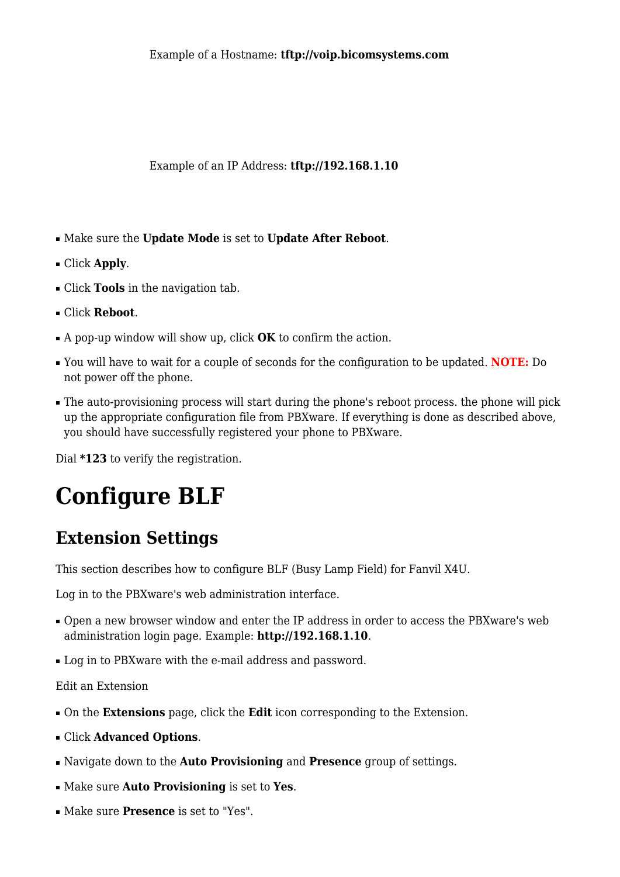Example of a Hostname: **tftp://voip.bicomsystems.com**

Example of an IP Address: **tftp://192.168.1.10**

- Make sure the **Update Mode** is set to **Update After Reboot**.
- Click **Apply**.
- Click **Tools** in the navigation tab.
- Click **Reboot**.
- A pop-up window will show up, click **OK** to confirm the action.
- You will have to wait for a couple of seconds for the configuration to be updated. **NOTE:** Do not power off the phone.
- The auto-provisioning process will start during the phone's reboot process. the phone will pick up the appropriate configuration file from PBXware. If everything is done as described above, you should have successfully registered your phone to PBXware.

Dial **\*123** to verify the registration.

# **Configure BLF**

## **Extension Settings**

This section describes how to configure BLF (Busy Lamp Field) for Fanvil X4U.

Log in to the PBXware's web administration interface.

- Open a new browser window and enter the IP address in order to access the PBXware's web administration login page. Example: **<http://192.168.1.10>**.
- Log in to PBXware with the e-mail address and password.

#### Edit an Extension

- On the **Extensions** page, click the **Edit** icon corresponding to the Extension.
- Click **Advanced Options**.
- Navigate down to the **Auto Provisioning** and **Presence** group of settings.
- Make sure **Auto Provisioning** is set to **Yes**.
- Make sure **Presence** is set to "Yes".